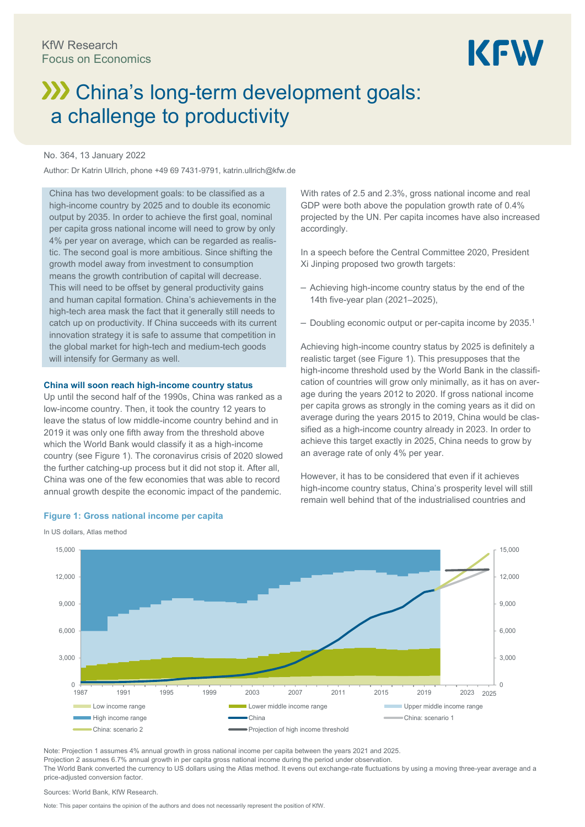# KFW

# **XX** China's long-term development goals: a challenge to productivity

#### No. 364, 13 January 2022

Author: Dr Katrin Ullrich, phone +49 69 7431-9791, katrin.ullrich@kfw.de

China has two development goals: to be classified as a high-income country by 2025 and to double its economic output by 2035. In order to achieve the first goal, nominal per capita gross national income will need to grow by only 4% per year on average, which can be regarded as realistic. The second goal is more ambitious. Since shifting the growth model away from investment to consumption means the growth contribution of capital will decrease. This will need to be offset by general productivity gains and human capital formation. China's achievements in the high-tech area mask the fact that it generally still needs to catch up on productivity. If China succeeds with its current innovation strategy it is safe to assume that competition in the global market for high-tech and medium-tech goods will intensify for Germany as well.

#### **China will soon reach high-income country status**

Up until the second half of the 1990s, China was ranked as a low-income country. Then, it took the country 12 years to leave the status of low middle-income country behind and in 2019 it was only one fifth away from the threshold above which the World Bank would classify it as a high-income country (see Figure 1). The coronavirus crisis of 2020 slowed the further catching-up process but it did not stop it. After all, China was one of the few economies that was able to record annual growth despite the economic impact of the pandemic.

#### **Figure 1: Gross national income per capita**

In US dollars, Atlas method

 $\overline{0}$ 3,000 6,000 9,000 12,000 15,000  $0 - 1987$ 3,000 6,000 9,000 12,000 15,000 1987 1991 1995 1999 2003 2007 2011 2015 2019 2023 Low income range the state of the Lower middle income range the Upper middle income range High income range China China: scenario 1 • China: scenario 2 **Projection of high income threshold** 2025

Note: Projection 1 assumes 4% annual growth in gross national income per capita between the years 2021 and 2025. Projection 2 assumes 6.7% annual growth in per capita gross national income during the period under observation. The World Bank converted the currency to US dollars using the Atlas method. It evens out exchange-rate fluctuations by using a moving three-year average and a price-adjusted conversion factor.

Sources: World Bank, KfW Research.

Note: This paper contains the opinion of the authors and does not necessarily represent the position of KfW.

With rates of 2.5 and 2.3%, gross national income and real GDP were both above the population growth rate of 0.4% projected by the UN. Per capita incomes have also increased accordingly.

In a speech before the Central Committee 2020, President Xi Jinping proposed two growth targets:

- ‒ Achieving high-income country status by the end of the 14th five-year plan (2021–2025),
- $-$  Doubling economic output or per-capita income by 2035.<sup>1</sup>

Achieving high-income country status by 2025 is definitely a realistic target (see Figure 1). This presupposes that the high-income threshold used by the World Bank in the classification of countries will grow only minimally, as it has on average during the years 2012 to 2020. If gross national income per capita grows as strongly in the coming years as it did on average during the years 2015 to 2019, China would be classified as a high-income country already in 2023. In order to achieve this target exactly in 2025, China needs to grow by an average rate of only 4% per year.

However, it has to be considered that even if it achieves high-income country status, China's prosperity level will still remain well behind that of the industrialised countries and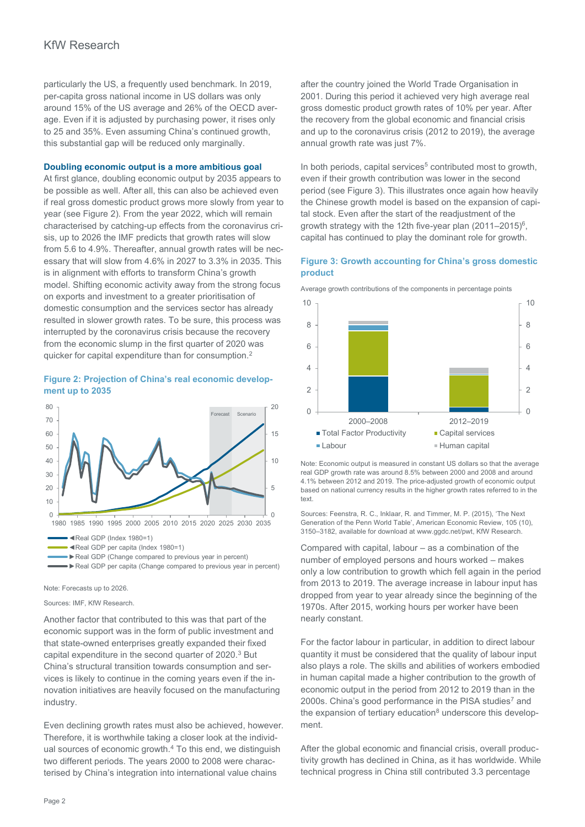## KfW Research

particularly the US, a frequently used benchmark. In 2019, per-capita gross national income in US dollars was only around 15% of the US average and 26% of the OECD average. Even if it is adjusted by purchasing power, it rises only to 25 and 35%. Even assuming China's continued growth, this substantial gap will be reduced only marginally.

#### **Doubling economic output is a more ambitious goal**

At first glance, doubling economic output by 2035 appears to be possible as well. After all, this can also be achieved even if real gross domestic product grows more slowly from year to year (see Figure 2). From the year 2022, which will remain characterised by catching-up effects from the coronavirus crisis, up to 2026 the IMF predicts that growth rates will slow from 5.6 to 4.9%. Thereafter, annual growth rates will be necessary that will slow from 4.6% in 2027 to 3.3% in 2035. This is in alignment with efforts to transform China's growth model. Shifting economic activity away from the strong focus on exports and investment to a greater prioritisation of domestic consumption and the services sector has already resulted in slower growth rates. To be sure, this process was interrupted by the coronavirus crisis because the recovery from the economic slump in the first quarter of 2020 was quicker for capital expenditure than for consumption.<sup>2</sup>

#### **Figure 2: Projection of China's real economic development up to 2035**



Note: Forecasts up to 2026.

Sources: IMF, KfW Research.

Another factor that contributed to this was that part of the economic support was in the form of public investment and that state-owned enterprises greatly expanded their fixed capital expenditure in the second quarter of 2020.<sup>3</sup> But China's structural transition towards consumption and services is likely to continue in the coming years even if the innovation initiatives are heavily focused on the manufacturing industry.

Even declining growth rates must also be achieved, however. Therefore, it is worthwhile taking a closer look at the individual sources of economic growth. $4$  To this end, we distinguish two different periods. The years 2000 to 2008 were characterised by China's integration into international value chains

after the country joined the World Trade Organisation in 2001. During this period it achieved very high average real gross domestic product growth rates of 10% per year. After the recovery from the global economic and financial crisis and up to the coronavirus crisis (2012 to 2019), the average annual growth rate was just 7%.

In both periods, capital services<sup>5</sup> contributed most to growth, even if their growth contribution was lower in the second period (see Figure 3). This illustrates once again how heavily the Chinese growth model is based on the expansion of capital stock. Even after the start of the readjustment of the growth strategy with the 12th five-year plan (2011–2015)<sup>6</sup>, capital has continued to play the dominant role for growth.

#### **Figure 3: Growth accounting for China's gross domestic product**





Note: Economic output is measured in constant US dollars so that the average real GDP growth rate was around 8.5% between 2000 and 2008 and around 4.1% between 2012 and 2019. The price-adjusted growth of economic output based on national currency results in the higher growth rates referred to in the text.

Sources: Feenstra, R. C., Inklaar, R. and Timmer, M. P. (2015), 'The Next Generation of the Penn World Table', American Economic Review, 105 (10), 3150–3182, available for download at www.ggdc.net/pwt, KfW Research.

Compared with capital, labour – as a combination of the number of employed persons and hours worked – makes only a low contribution to growth which fell again in the period from 2013 to 2019. The average increase in labour input has dropped from year to year already since the beginning of the 1970s. After 2015, working hours per worker have been nearly constant.

For the factor labour in particular, in addition to direct labour quantity it must be considered that the quality of labour input also plays a role. The skills and abilities of workers embodied in human capital made a higher contribution to the growth of economic output in the period from 2012 to 2019 than in the 2000s. China's good performance in the PISA studies<sup>7</sup> and the expansion of tertiary education $8$  underscore this development.

After the global economic and financial crisis, overall productivity growth has declined in China, as it has worldwide. While technical progress in China still contributed 3.3 percentage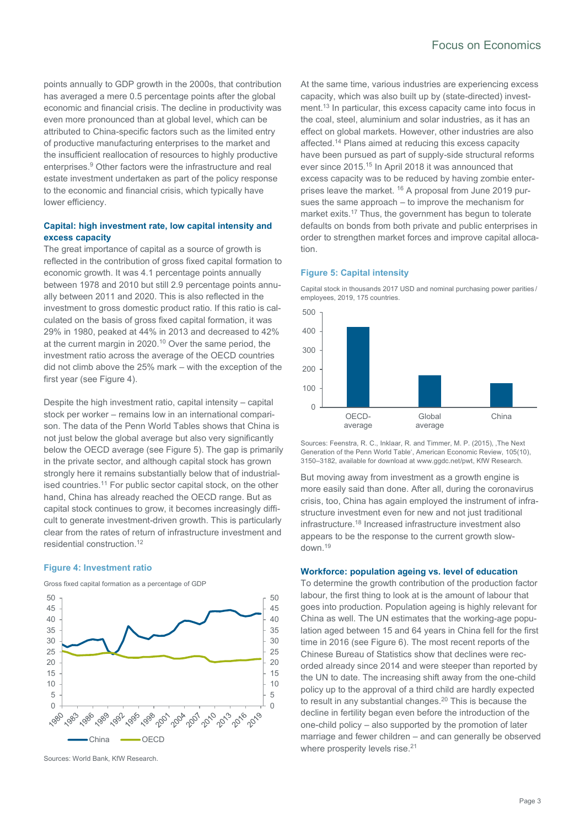points annually to GDP growth in the 2000s, that contribution has averaged a mere 0.5 percentage points after the global economic and financial crisis. The decline in productivity was even more pronounced than at global level, which can be attributed to China-specific factors such as the limited entry of productive manufacturing enterprises to the market and the insufficient reallocation of resources to highly productive enterprises.<sup>9</sup> Other factors were the infrastructure and real estate investment undertaken as part of the policy response to the economic and financial crisis, which typically have lower efficiency.

#### **Capital: high investment rate, low capital intensity and excess capacity**

The great importance of capital as a source of growth is reflected in the contribution of gross fixed capital formation to economic growth. It was 4.1 percentage points annually between 1978 and 2010 but still 2.9 percentage points annually between 2011 and 2020. This is also reflected in the investment to gross domestic product ratio. If this ratio is calculated on the basis of gross fixed capital formation, it was 29% in 1980, peaked at 44% in 2013 and decreased to 42% at the current margin in 2020.<sup>10</sup> Over the same period, the investment ratio across the average of the OECD countries did not climb above the 25% mark – with the exception of the first year (see Figure 4).

Despite the high investment ratio, capital intensity – capital stock per worker – remains low in an international comparison. The data of the Penn World Tables shows that China is not just below the global average but also very significantly below the OECD average (see Figure 5). The gap is primarily in the private sector, and although capital stock has grown strongly here it remains substantially below that of industrialised countries.<sup>11</sup> For public sector capital stock, on the other hand, China has already reached the OECD range. But as capital stock continues to grow, it becomes increasingly difficult to generate investment-driven growth. This is particularly clear from the rates of return of infrastructure investment and residential construction.<sup>12</sup>

#### **Figure 4: Investment ratio**

Gross fixed capital formation as a percentage of GDP



Sources: World Bank, KfW Research.

At the same time, various industries are experiencing excess capacity, which was also built up by (state-directed) investment.<sup>13</sup> In particular, this excess capacity came into focus in the coal, steel, aluminium and solar industries, as it has an effect on global markets. However, other industries are also affected.<sup>14</sup> Plans aimed at reducing this excess capacity have been pursued as part of supply-side structural reforms ever since 2015.<sup>15</sup> In April 2018 it was announced that excess capacity was to be reduced by having zombie enterprises leave the market. <sup>16</sup> A proposal from June 2019 pursues the same approach – to improve the mechanism for market exits.<sup>17</sup> Thus, the government has begun to tolerate defaults on bonds from both private and public enterprises in order to strengthen market forces and improve capital allocation.

#### **Figure 5: Capital intensity**

Capital stock in thousands 2017 USD and nominal purchasing power parities / employees, 2019, 175 countries.



Sources: Feenstra, R. C., Inklaar, R. and Timmer, M. P. (2015), , The Next Generation of the Penn World Table', American Economic Review, 105(10), 3150–3182, available for download a[t www.ggdc.net/pwt,](http://www.ggdc.net/pwt) KfW Research.

But moving away from investment as a growth engine is more easily said than done. After all, during the coronavirus crisis, too, China has again employed the instrument of infrastructure investment even for new and not just traditional infrastructure.<sup>18</sup> Increased infrastructure investment also appears to be the response to the current growth slowdown.<sup>19</sup>

#### **Workforce: population ageing vs. level of education**

To determine the growth contribution of the production factor labour, the first thing to look at is the amount of labour that goes into production. Population ageing is highly relevant for China as well. The UN estimates that the working-age population aged between 15 and 64 years in China fell for the first time in 2016 (see Figure 6). The most recent reports of the Chinese Bureau of Statistics show that declines were recorded already since 2014 and were steeper than reported by the UN to date. The increasing shift away from the one-child policy up to the approval of a third child are hardly expected to result in any substantial changes.<sup>20</sup> This is because the decline in fertility began even before the introduction of the one-child policy – also supported by the promotion of later marriage and fewer children – and can generally be observed where prosperity levels rise.<sup>21</sup>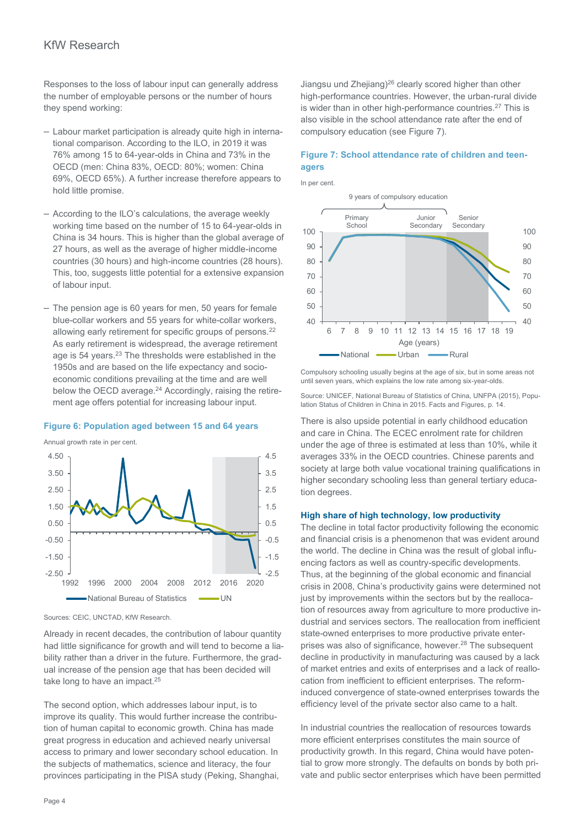### KfW Research

Responses to the loss of labour input can generally address the number of employable persons or the number of hours they spend working:

- ‒ Labour market participation is already quite high in international comparison. According to the ILO, in 2019 it was 76% among 15 to 64-year-olds in China and 73% in the OECD (men: China 83%, OECD: 80%; women: China 69%, OECD 65%). A further increase therefore appears to hold little promise.
- ‒ According to the ILO's calculations, the average weekly working time based on the number of 15 to 64-year-olds in China is 34 hours. This is higher than the global average of 27 hours, as well as the average of higher middle-income countries (30 hours) and high-income countries (28 hours). This, too, suggests little potential for a extensive expansion of labour input.
- ‒ The pension age is 60 years for men, 50 years for female blue-collar workers and 55 years for white-collar workers, allowing early retirement for specific groups of persons.<sup>22</sup> As early retirement is widespread, the average retirement age is 54 years.<sup>23</sup> The thresholds were established in the 1950s and are based on the life expectancy and socioeconomic conditions prevailing at the time and are well below the OECD average.<sup>24</sup> Accordingly, raising the retirement age offers potential for increasing labour input.

#### **Figure 6: Population aged between 15 and 64 years**

Annual growth rate in per cent.



Sources: CEIC, UNCTAD, KfW Research.

Already in recent decades, the contribution of labour quantity had little significance for growth and will tend to become a liability rather than a driver in the future. Furthermore, the gradual increase of the pension age that has been decided will take long to have an impact.<sup>25</sup>

The second option, which addresses labour input, is to improve its quality. This would further increase the contribution of human capital to economic growth. China has made great progress in education and achieved nearly universal access to primary and lower secondary school education. In the subjects of mathematics, science and literacy, the four provinces participating in the PISA study (Peking, Shanghai, Jiangsu und Zhejiang)<sup>26</sup> clearly scored higher than other high-performance countries. However, the urban-rural divide is wider than in other high-performance countries.<sup>27</sup> This is also visible in the school attendance rate after the end of compulsory education (see Figure 7).

#### **Figure 7: School attendance rate of children and teenagers**

In per cent.



Compulsory schooling usually begins at the age of six, but in some areas not until seven years, which explains the low rate among six-year-olds.

Source: UNICEF, National Bureau of Statistics of China, UNFPA (2015), Population Status of Children in China in 2015. Facts and Figures, p. 14.

There is also upside potential in early childhood education and care in China. The ECEC enrolment rate for children under the age of three is estimated at less than 10%, while it averages 33% in the OECD countries. Chinese parents and society at large both value vocational training qualifications in higher secondary schooling less than general tertiary education degrees.

#### **High share of high technology, low productivity**

The decline in total factor productivity following the economic and financial crisis is a phenomenon that was evident around the world. The decline in China was the result of global influencing factors as well as country-specific developments. Thus, at the beginning of the global economic and financial crisis in 2008, China's productivity gains were determined not just by improvements within the sectors but by the reallocation of resources away from agriculture to more productive industrial and services sectors. The reallocation from inefficient state-owned enterprises to more productive private enterprises was also of significance, however. <sup>28</sup> The subsequent decline in productivity in manufacturing was caused by a lack of market entries and exits of enterprises and a lack of reallocation from inefficient to efficient enterprises. The reforminduced convergence of state-owned enterprises towards the efficiency level of the private sector also came to a halt.

In industrial countries the reallocation of resources towards more efficient enterprises constitutes the main source of productivity growth. In this regard, China would have potential to grow more strongly. The defaults on bonds by both private and public sector enterprises which have been permitted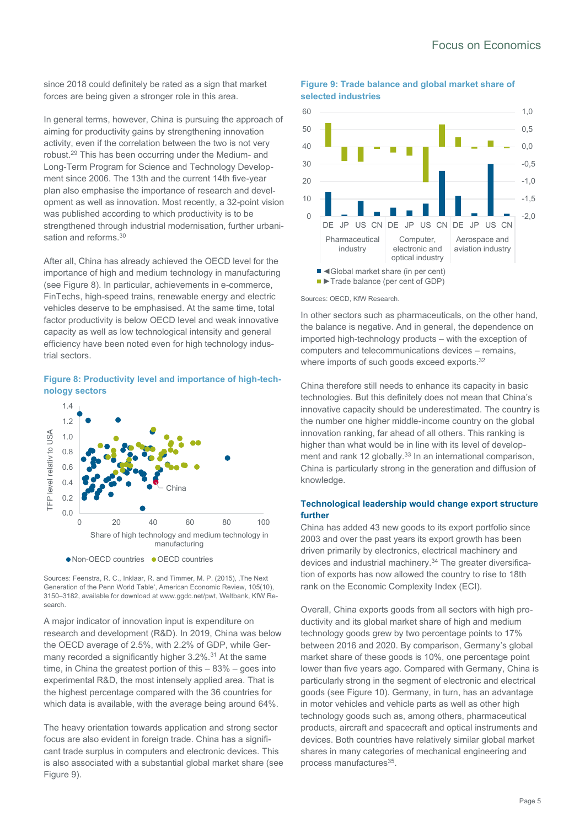since 2018 could definitely be rated as a sign that market forces are being given a stronger role in this area.

In general terms, however, China is pursuing the approach of aiming for productivity gains by strengthening innovation activity, even if the correlation between the two is not very robust.<sup>29</sup> This has been occurring under the Medium- and Long-Term Program for Science and Technology Development since 2006. The 13th and the current 14th five-year plan also emphasise the importance of research and development as well as innovation. Most recently, a 32-point vision was published according to which productivity is to be strengthened through industrial modernisation, further urbanisation and reforms.<sup>30</sup>

After all, China has already achieved the OECD level for the importance of high and medium technology in manufacturing (see Figure 8). In particular, achievements in e-commerce, FinTechs, high-speed trains, renewable energy and electric vehicles deserve to be emphasised. At the same time, total factor productivity is below OECD level and weak innovative capacity as well as low technological intensity and general efficiency have been noted even for high technology industrial sectors.

#### **Figure 8: Productivity level and importance of high-technology sectors**



Sources: Feenstra, R. C., Inklaar, R. and Timmer, M. P. (2015), The Next Generation of the Penn World Table', American Economic Review, 105(10), 3150–3182, available for download at [www.ggdc.net/pwt,](http://www.ggdc.net/pwt) Weltbank, KfW Research.

A major indicator of innovation input is expenditure on research and development (R&D). In 2019, China was below the OECD average of 2.5%, with 2.2% of GDP, while Germany recorded a significantly higher 3.2%.<sup>31</sup> At the same time, in China the greatest portion of this – 83% – goes into experimental R&D, the most intensely applied area. That is the highest percentage compared with the 36 countries for which data is available, with the average being around 64%.

The heavy orientation towards application and strong sector focus are also evident in foreign trade. China has a significant trade surplus in computers and electronic devices. This is also associated with a substantial global market share (see Figure 9).





Sources: OECD, KfW Research.

In other sectors such as pharmaceuticals, on the other hand, the balance is negative. And in general, the dependence on imported high-technology products – with the exception of computers and telecommunications devices – remains, where imports of such goods exceed exports.<sup>32</sup>

China therefore still needs to enhance its capacity in basic technologies. But this definitely does not mean that China's innovative capacity should be underestimated. The country is the number one higher middle-income country on the global innovation ranking, far ahead of all others. This ranking is higher than what would be in line with its level of development and rank 12 globally.<sup>33</sup> In an international comparison, China is particularly strong in the generation and diffusion of knowledge.

#### **Technological leadership would change export structure further**

China has added 43 new goods to its export portfolio since 2003 and over the past years its export growth has been driven primarily by electronics, electrical machinery and devices and industrial machinery.<sup>34</sup> The greater diversification of exports has now allowed the country to rise to 18th rank on the Economic Complexity Index (ECI).

Overall, China exports goods from all sectors with high productivity and its global market share of high and medium technology goods grew by two percentage points to 17% between 2016 and 2020. By comparison, Germany's global market share of these goods is 10%, one percentage point lower than five years ago. Compared with Germany, China is particularly strong in the segment of electronic and electrical goods (see Figure 10). Germany, in turn, has an advantage in motor vehicles and vehicle parts as well as other high technology goods such as, among others, pharmaceutical products, aircraft and spacecraft and optical instruments and devices. Both countries have relatively similar global market shares in many categories of mechanical engineering and process manufactures<sup>35</sup>.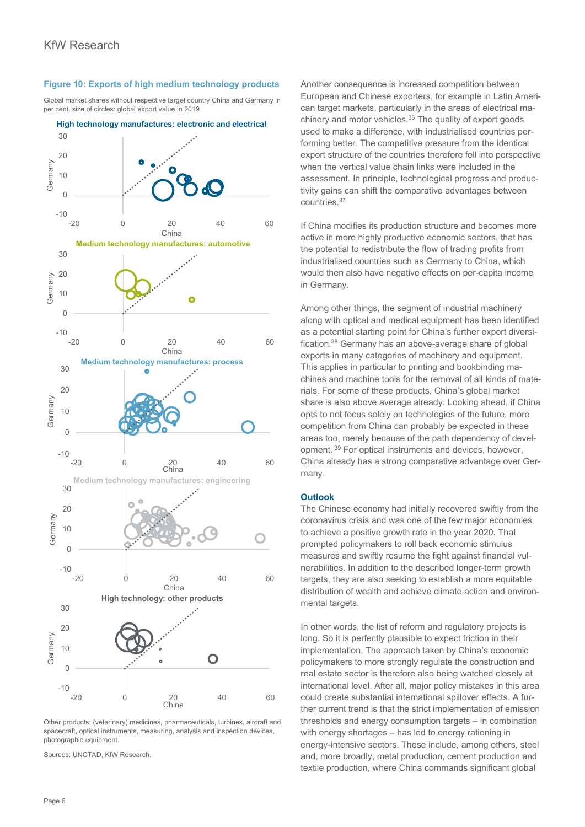#### **Figure 10: Exports of high medium technology products**

Global market shares without respective target country China and Germany in per cent, size of circles: global export value in 2019



**High technology manufactures: electronic and electrical**

Other products: (veterinary) medicines, pharmaceuticals, turbines, aircraft and spacecraft, optical instruments, measuring, analysis and inspection devices photographic equipment.

Sources: UNCTAD, KfW Research.

Another consequence is increased competition between European and Chinese exporters, for example in Latin American target markets, particularly in the areas of electrical machinery and motor vehicles.<sup>36</sup> The quality of export goods used to make a difference, with industrialised countries performing better. The competitive pressure from the identical export structure of the countries therefore fell into perspective when the vertical value chain links were included in the assessment. In principle, technological progress and productivity gains can shift the comparative advantages between countries.<sup>37</sup>

If China modifies its production structure and becomes more active in more highly productive economic sectors, that has the potential to redistribute the flow of trading profits from industrialised countries such as Germany to China, which would then also have negative effects on per-capita income in Germany.

Among other things, the segment of industrial machinery along with optical and medical equipment has been identified as a potential starting point for China's further export diversification.<sup>38</sup> Germany has an above-average share of global exports in many categories of machinery and equipment. This applies in particular to printing and bookbinding machines and machine tools for the removal of all kinds of materials. For some of these products, China's global market share is also above average already. Looking ahead, if China opts to not focus solely on technologies of the future, more competition from China can probably be expected in these areas too, merely because of the path dependency of development. <sup>39</sup> For optical instruments and devices, however, China already has a strong comparative advantage over Germany.

#### **Outlook**

The Chinese economy had initially recovered swiftly from the coronavirus crisis and was one of the few major economies to achieve a positive growth rate in the year 2020. That prompted policymakers to roll back economic stimulus measures and swiftly resume the fight against financial vulnerabilities. In addition to the described longer-term growth targets, they are also seeking to establish a more equitable distribution of wealth and achieve climate action and environmental targets.

In other words, the list of reform and regulatory projects is long. So it is perfectly plausible to expect friction in their implementation. The approach taken by China's economic policymakers to more strongly regulate the construction and real estate sector is therefore also being watched closely at international level. After all, major policy mistakes in this area could create substantial international spillover effects. A further current trend is that the strict implementation of emission thresholds and energy consumption targets – in combination with energy shortages – has led to energy rationing in energy-intensive sectors. These include, among others, steel and, more broadly, metal production, cement production and textile production, where China commands significant global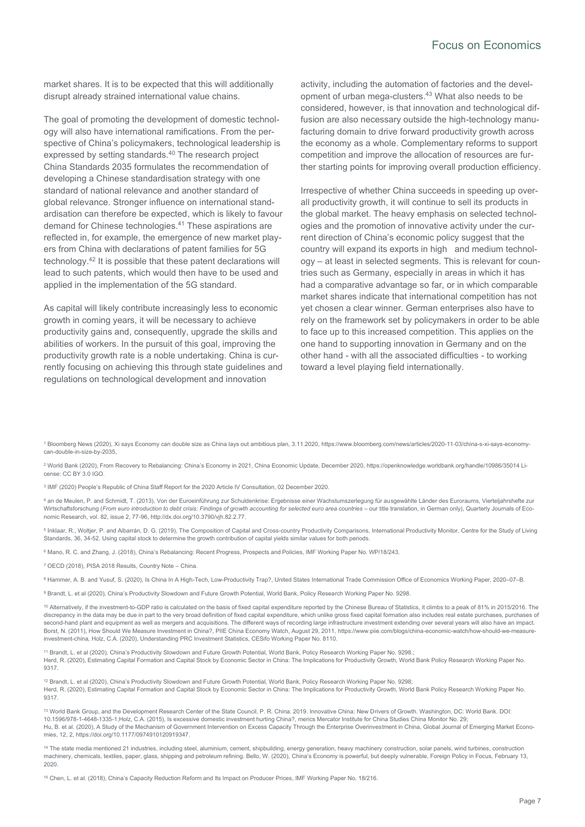market shares. It is to be expected that this will additionally disrupt already strained international value chains.

The goal of promoting the development of domestic technology will also have international ramifications. From the perspective of China's policymakers, technological leadership is expressed by setting standards.<sup>40</sup> The research project China Standards 2035 formulates the recommendation of developing a Chinese standardisation strategy with one standard of national relevance and another standard of global relevance. Stronger influence on international standardisation can therefore be expected, which is likely to favour demand for Chinese technologies.<sup>41</sup> These aspirations are reflected in, for example, the emergence of new market players from China with declarations of patent families for 5G technology.<sup>42</sup> It is possible that these patent declarations will lead to such patents, which would then have to be used and applied in the implementation of the 5G standard.

As capital will likely contribute increasingly less to economic growth in coming years, it will be necessary to achieve productivity gains and, consequently, upgrade the skills and abilities of workers. In the pursuit of this goal, improving the productivity growth rate is a noble undertaking. China is currently focusing on achieving this through state guidelines and regulations on technological development and innovation

activity, including the automation of factories and the development of urban mega-clusters.<sup>43</sup> What also needs to be considered, however, is that innovation and technological diffusion are also necessary outside the high-technology manufacturing domain to drive forward productivity growth across the economy as a whole. Complementary reforms to support competition and improve the allocation of resources are further starting points for improving overall production efficiency.

Irrespective of whether China succeeds in speeding up overall productivity growth, it will continue to sell its products in the global market. The heavy emphasis on selected technologies and the promotion of innovative activity under the current direction of China's economic policy suggest that the country will expand its exports in high and medium technology – at least in selected segments. This is relevant for countries such as Germany, especially in areas in which it has had a comparative advantage so far, or in which comparable market shares indicate that international competition has not yet chosen a clear winner. German enterprises also have to rely on the framework set by policymakers in order to be able to face up to this increased competition. This applies on the one hand to supporting innovation in Germany and on the other hand - with all the associated difficulties - to working toward a level playing field internationally.

<sup>1</sup> Bloomberg News (2020), Xi says Economy can double size as China lays out ambitious plan, 3.11.2020[, https://www.bloomberg.com/news/articles/2020-11-03/china-s-xi-says-economy](https://www.bloomberg.com/news/articles/2020-11-03/china-s-xi-says-economy-can-double-in-size-by-2035)[can-double-in-size-by-2035,](https://www.bloomberg.com/news/articles/2020-11-03/china-s-xi-says-economy-can-double-in-size-by-2035)

<sup>2</sup> World Bank (2020), From Recovery to Rebalancing: China's Economy in 2021, China Economic Update, December 2020, https://openknowledge.worldbank.org/handle/10986/35014 License: CC BY 3.0 IGO.

3 IMF (2020) People's Republic of China Staff Report for the 2020 Article IV Consultation, 02 December 2020.

<sup>4</sup> an de Meulen, P. and Schmidt, T. (2013), Von der Euroeinführung zur Schuldenkrise: Ergebnisse einer Wachstumszerlegung für ausgewählte Länder des Euroraums, Vierteljahrshefte zur Wirtschaftsforschung (From euro introduction to debt crisis: Findings of growth accounting for selected euro area countries - our title translation, in German only), Quarterly Journals of Economic Research, vol. 82, issue 2, 77-96[, http://dx.doi.org/10.3790/vjh.82.2.77.](http://dx.doi.org/10.3790/vjh.82.2.77)

<sup>5</sup> Inklaar, R., Woltjer, P. and Albarrán, D. G. (2019), The Composition of Capital and Cross-country Productivity Comparisons[, International Productivity Monitor,](https://ideas.repec.org/s/sls/ipmsls.html) Centre for the Study of Living Standards, 36, 34-52. Using capital stock to determine the growth contribution of capital yields similar values for both periods.

<sup>6</sup> Mano, R. C. and Zhang, J. (2018), China's Rebalancing: Recent Progress, Prospects and Policies, IMF Working Paper No. WP/18/243.

<sup>7</sup> OECD (2018), PISA 2018 Results, Country Note – China.

<sup>8</sup> Hammer, A. B. and Yusuf, S. (2020), Is China In A High-Tech, Low-Productivity Trap?[, United States International Trade Commission Office of Economics](https://www.google.de/search?tbo=p&tbm=bks&q=inauthor:%22United+States+International+Trade+Commission+Office+of+Economics%22&source=gbs_metadata_r&cad=2) Working Paper, 2020–07–B.

9 Brandt, L. et al (2020), China's Productivity Slowdown and Future Growth Potential, World Bank, Policy Research Working Paper No. 9298.

<sup>10</sup> Alternatively, if the investment-to-GDP ratio is calculated on the basis of fixed capital expenditure reported by the Chinese Bureau of Statistics, it climbs to a peak of 81% in 2015/2016. The discrepancy in the data may be due in part to the very broad definition of fixed capital expenditure, which unlike gross fixed capital formation also includes real estate purchases, purchases of second-hand plant and equipment as well as mergers and acquisitions. The different ways of recording large infrastructure investment extending over several years will also have an impact. Borst, N. (2011), How Should We Measure Investment in China?, PIIE China Economy Watch, August 29, 2011[, https://www.piie.com/blogs/china-economic-watch/how-should-we-measure](https://www.piie.com/blogs/china-economic-watch/how-should-we-measure-investment-china)[investment-china](https://www.piie.com/blogs/china-economic-watch/how-should-we-measure-investment-china)*,* Holz, C.A. (2020), Understanding PRC Investment Statistics, CESifo Working Paper No. 8110.

<sup>11</sup> Brandt, L. et al (2020), China's Productivity Slowdown and Future Growth Potential, World Bank, Policy Research Working Paper No. 9298.; Herd, R. (2020), Estimating Capital Formation and Capital Stock by Economic Sector in China: The Implications for Productivity Growth, World Bank Policy Research Working Paper No. 9317.

<sup>12</sup> Brandt, L. et al (2020), China's Productivity Slowdown and Future Growth Potential, World Bank, Policy Research Working Paper No. 9298; Herd, R. (2020), Estimating Capital Formation and Capital Stock by Economic Sector in China: The Implications for Productivity Growth, World Bank Policy Research Working Paper No. 0317

<sup>13</sup> World Bank Group, and the Development Research Center of the State Council, P. R. China. 2019. Innovative China: New Drivers of Growth. Washington, DC: World Bank. DOI: 10.1596/978-1-4648-1335-1;Holz, C.A. (2015), Is excessive domestic investment hurting China?, merics Mercator Institute for China Studies China Monitor No. 29; Hu, B. et al. (2020), A Study of the Mechanism of Government Intervention on Excess Capacity Through the Enterprise Overinvestment in China, Global Journal of Emerging Market Economies, 12, 2[, https://doi.org/10.1177/0974910120919347.](https://doi.org/10.1177%2F0974910120919347)

14 The state media mentioned 21 industries, including steel, aluminium, cement, shipbuilding, energy generation, heavy machinery construction, solar panels, wind turbines, construction machinery, chemicals, textiles, paper, glass, shipping and petroleum refining. Bello, W. (2020), China'[s Economy is powerful, but deeply vulnerable,](https://fpif.org/chinas-economy-is-powerful-but-deeply-vulnerable/) Foreign Policy in Focus, February 13, 2020.

<sup>15</sup> Chen, L. et al. (2018), China's Capacity Reduction Reform and Its Impact on Producer Prices, IMF Working Paper No. 18/216.